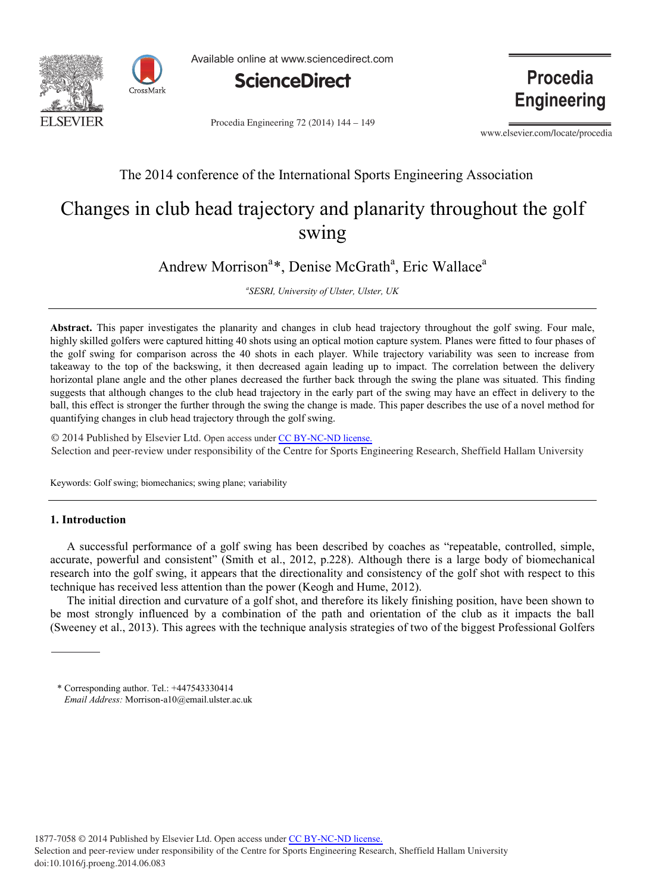



Available online at www.sciencedirect.com



Procedia Engineering 72 (2014) 144 - 149

**Procedia Engineering** 

www.elsevier.com/locate/procedia

# The 2014 conference of the International Sports Engineering Association

# Changes in club head trajectory and planarity throughout the golf swing

Andrew Morrison<sup>a\*</sup>, Denise McGrath<sup>a</sup>, Eric Wallace<sup>a</sup>

*a SESRI, University of Ulster, Ulster, UK*

**Abstract.** This paper investigates the planarity and changes in club head trajectory throughout the golf swing. Four male, highly skilled golfers were captured hitting 40 shots using an optical motion capture system. Planes were fitted to four phases of the golf swing for comparison across the 40 shots in each player. While trajectory variability was seen to increase from takeaway to the top of the backswing, it then decreased again leading up to impact. The correlation between the delivery horizontal plane angle and the other planes decreased the further back through the swing the plane was situated. This finding suggests that although changes to the club head trajectory in the early part of the swing may have an effect in delivery to the ball, this effect is stronger the further through the swing the change is made. This paper describes the use of a novel method for quantifying changes in club head trajectory through the golf swing.

 $\approx$  2014 I donsited by Elsevier Eta. Open access a Selection and peer-review under responsibility of the Centre for Sports Engineering Research, Sheffield Hallam University © 2014 Published by Elsevier Ltd. Open access under [CC BY-NC-ND license.](http://creativecommons.org/licenses/by-nc-nd/3.0/)

Keywords: Golf swing; biomechanics; swing plane; variability

# **1. Introduction**

A successful performance of a golf swing has been described by coaches as "repeatable, controlled, simple, accurate, powerful and consistent" (Smith et al., 2012, p.228). Although there is a large body of biomechanical research into the golf swing, it appears that the directionality and consistency of the golf shot with respect to this technique has received less attention than the power (Keogh and Hume, 2012).

The initial direction and curvature of a golf shot, and therefore its likely finishing position, have been shown to be most strongly influenced by a combination of the path and orientation of the club as it impacts the ball (Sweeney et al., 2013). This agrees with the technique analysis strategies of two of the biggest Professional Golfers

<sup>\*</sup> Corresponding author. Tel.: +447543330414 *Email Address:* Morrison-a10@email.ulster.ac.uk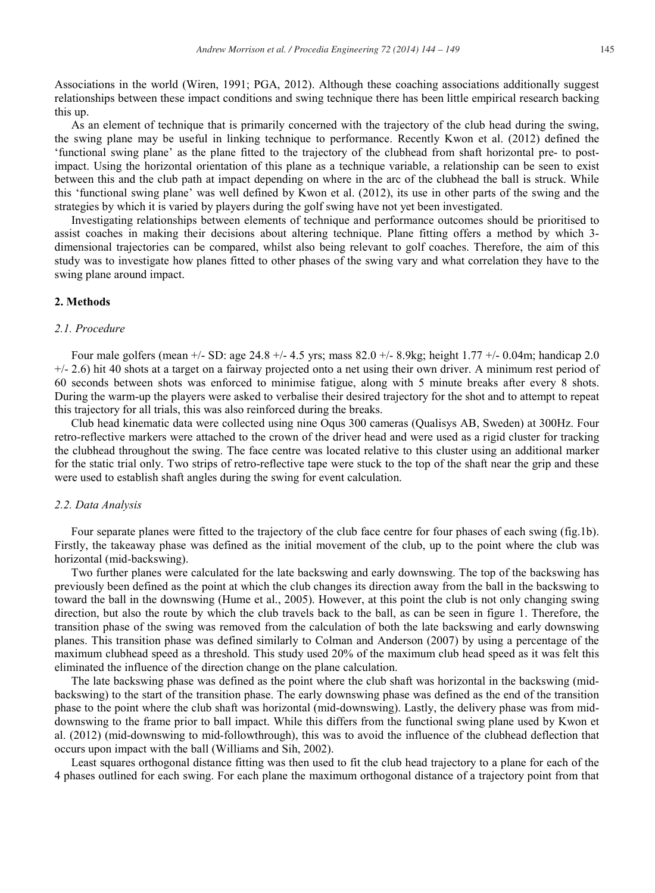Associations in the world (Wiren, 1991; PGA, 2012). Although these coaching associations additionally suggest relationships between these impact conditions and swing technique there has been little empirical research backing this up.

As an element of technique that is primarily concerned with the trajectory of the club head during the swing, the swing plane may be useful in linking technique to performance. Recently Kwon et al. (2012) defined the 'functional swing plane' as the plane fitted to the trajectory of the clubhead from shaft horizontal pre- to postimpact. Using the horizontal orientation of this plane as a technique variable, a relationship can be seen to exist between this and the club path at impact depending on where in the arc of the clubhead the ball is struck. While this 'functional swing plane' was well defined by Kwon et al. (2012), its use in other parts of the swing and the strategies by which it is varied by players during the golf swing have not yet been investigated.

Investigating relationships between elements of technique and performance outcomes should be prioritised to assist coaches in making their decisions about altering technique. Plane fitting offers a method by which 3 dimensional trajectories can be compared, whilst also being relevant to golf coaches. Therefore, the aim of this study was to investigate how planes fitted to other phases of the swing vary and what correlation they have to the swing plane around impact.

# **2. Methods**

# *2.1. Procedure*

Four male golfers (mean +/- SD: age 24.8 +/- 4.5 yrs; mass 82.0 +/- 8.9kg; height 1.77 +/- 0.04m; handicap 2.0 +/- 2.6) hit 40 shots at a target on a fairway projected onto a net using their own driver. A minimum rest period of 60 seconds between shots was enforced to minimise fatigue, along with 5 minute breaks after every 8 shots. During the warm-up the players were asked to verbalise their desired trajectory for the shot and to attempt to repeat this trajectory for all trials, this was also reinforced during the breaks.

Club head kinematic data were collected using nine Oqus 300 cameras (Qualisys AB, Sweden) at 300Hz. Four retro-reflective markers were attached to the crown of the driver head and were used as a rigid cluster for tracking the clubhead throughout the swing. The face centre was located relative to this cluster using an additional marker for the static trial only. Two strips of retro-reflective tape were stuck to the top of the shaft near the grip and these were used to establish shaft angles during the swing for event calculation.

#### *2.2. Data Analysis*

Four separate planes were fitted to the trajectory of the club face centre for four phases of each swing (fig.1b). Firstly, the takeaway phase was defined as the initial movement of the club, up to the point where the club was horizontal (mid-backswing).

Two further planes were calculated for the late backswing and early downswing. The top of the backswing has previously been defined as the point at which the club changes its direction away from the ball in the backswing to toward the ball in the downswing (Hume et al., 2005). However, at this point the club is not only changing swing direction, but also the route by which the club travels back to the ball, as can be seen in figure 1. Therefore, the transition phase of the swing was removed from the calculation of both the late backswing and early downswing planes. This transition phase was defined similarly to Colman and Anderson (2007) by using a percentage of the maximum clubhead speed as a threshold. This study used 20% of the maximum club head speed as it was felt this eliminated the influence of the direction change on the plane calculation.

The late backswing phase was defined as the point where the club shaft was horizontal in the backswing (midbackswing) to the start of the transition phase. The early downswing phase was defined as the end of the transition phase to the point where the club shaft was horizontal (mid-downswing). Lastly, the delivery phase was from middownswing to the frame prior to ball impact. While this differs from the functional swing plane used by Kwon et al. (2012) (mid-downswing to mid-followthrough), this was to avoid the influence of the clubhead deflection that occurs upon impact with the ball (Williams and Sih, 2002).

Least squares orthogonal distance fitting was then used to fit the club head trajectory to a plane for each of the 4 phases outlined for each swing. For each plane the maximum orthogonal distance of a trajectory point from that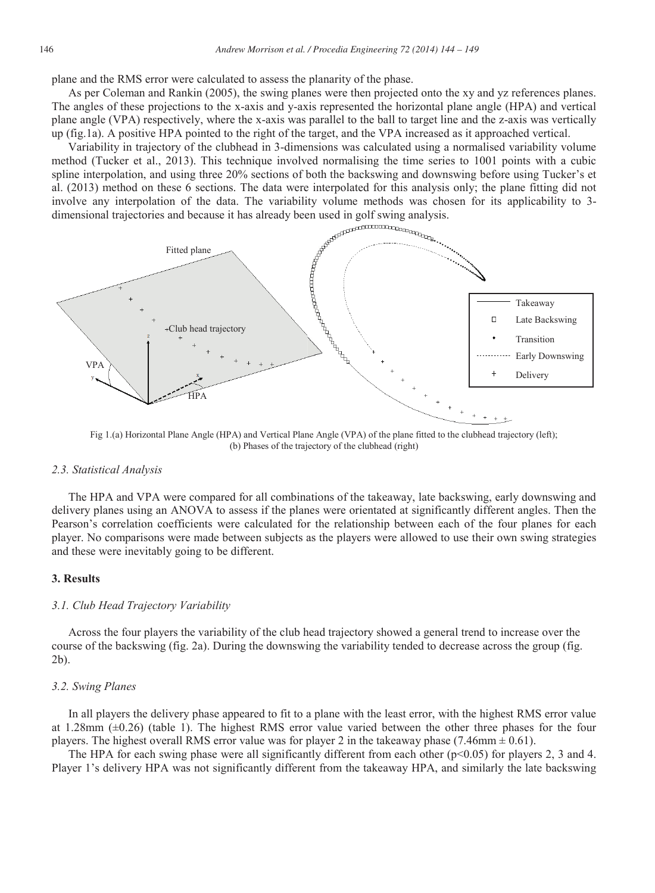plane and the RMS error were calculated to assess the planarity of the phase.

As per Coleman and Rankin (2005), the swing planes were then projected onto the xy and yz references planes. The angles of these projections to the x-axis and y-axis represented the horizontal plane angle (HPA) and vertical plane angle (VPA) respectively, where the x-axis was parallel to the ball to target line and the z-axis was vertically up (fig.1a). A positive HPA pointed to the right of the target, and the VPA increased as it approached vertical.

method (Tucker et al., 2013). This technique involved normalising the time series to 1001 points with a cubic spline interpolation, and using three 20% sections of both the backswing and downswing before using Tucker's et al. (2013) method on these 6 sections. The data were interpolated for this analysis only; the plane fitting did not involve any interpolation of the data. The variability volume methods was chosen for its applicability to 3 dimensional trajectories and because it has already been used in golf swing analysis.



Fig 1.(a) Horizontal Plane Angle (HPA) and Vertical Plane Angle (VPA) of the plane fitted to the clubhead trajectory (left); (b) Phases of the trajectory of the clubhead (right)

### *2.3. Statistical Analysis*

The HPA and VPA were compared for all combinations of the takeaway, late backswing, early downswing and delivery planes using an ANOVA to assess if the planes were orientated at significantly different angles. Then the Pearson's correlation coefficients were calculated for the relationship between each of the four planes for each player. No comparisons were made between subjects as the players were allowed to use their own swing strategies and these were inevitably going to be different.

# **3. Results**

#### *3.1. Club Head Trajectory Variability*

Across the four players the variability of the club head trajectory showed a general trend to increase over the course of the backswing (fig. 2a). During the downswing the variability tended to decrease across the group (fig. 2b).

#### *3.2. Swing Planes*

In all players the delivery phase appeared to fit to a plane with the least error, with the highest RMS error value at 1.28mm (±0.26) (table 1). The highest RMS error value varied between the other three phases for the four players. The highest overall RMS error value was for player 2 in the takeaway phase (7.46mm  $\pm$  0.61).

The HPA for each swing phase were all significantly different from each other ( $p<0.05$ ) for players 2, 3 and 4. Player 1's delivery HPA was not significantly different from the takeaway HPA, and similarly the late backswing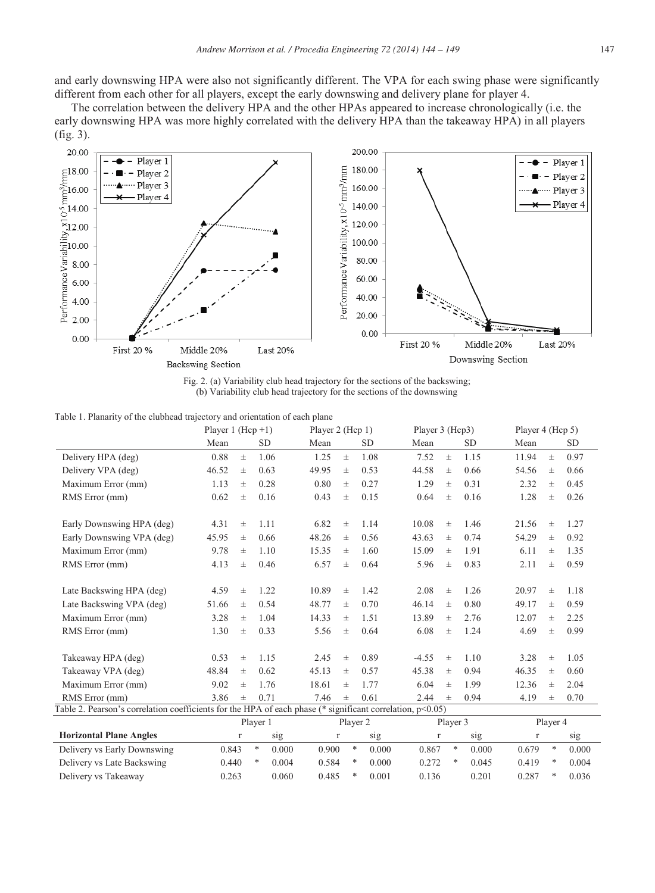and early downswing HPA were also not significantly different. The VPA for each swing phase were significantly different from each other for all players, except the early downswing and delivery plane for player 4.

The correlation between the delivery HPA and the other HPAs appeared to increase chronologically (i.e. the early downswing HPA was more highly correlated with the delivery HPA than the takeaway HPA) in all players (fig. 3).



Fig. 2. (a) Variability club head trajectory for the sections of the backswing; (b) Variability club head trajectory for the sections of the downswing

|  |  | Table 1. Planarity of the clubhead trajectory and orientation of each plane |  |
|--|--|-----------------------------------------------------------------------------|--|
|  |  |                                                                             |  |

|                                                                                                           |       | Player 1 (Hcp $+1$ ) |            |       | Player 2 (Hcp 1) |            |          | Player 3 (Hcp3) |           |          |          | Player 4 (Hcp 5) |  |  |  |
|-----------------------------------------------------------------------------------------------------------|-------|----------------------|------------|-------|------------------|------------|----------|-----------------|-----------|----------|----------|------------------|--|--|--|
|                                                                                                           | Mean  |                      | <b>SD</b>  | Mean  |                  | <b>SD</b>  | Mean     |                 | <b>SD</b> | Mean     |          | <b>SD</b>        |  |  |  |
| Delivery HPA (deg)                                                                                        | 0.88  | $\pm$                | 1.06       | 1.25  | $\pm$            | 1.08       | 7.52     | $\pm$           | 1.15      | 11.94    | $\pm$    | 0.97             |  |  |  |
| Delivery VPA (deg)                                                                                        | 46.52 | $_{\pm}$             | 0.63       | 49.95 | $\pm$            | 0.53       | 44.58    | $\pm$           | 0.66      | 54.56    | $\pm$    | 0.66             |  |  |  |
| Maximum Error (mm)                                                                                        | 1.13  | $_{\pm}$             | 0.28       | 0.80  | $\pm$            | 0.27       | 1.29     | $_{\pm}$        | 0.31      | 2.32     | $_{\pm}$ | 0.45             |  |  |  |
| RMS Error (mm)                                                                                            | 0.62  | $\pm$                | 0.16       | 0.43  | $\pm$            | 0.15       | 0.64     | 士               | 0.16      | 1.28     | $_{\pm}$ | 0.26             |  |  |  |
| Early Downswing HPA (deg)                                                                                 | 4.31  | $\pm$                | 1.11       | 6.82  | $\pm$            | 1.14       | 10.08    | 士               | 1.46      | 21.56    | $_{\pm}$ | 1.27             |  |  |  |
| Early Downswing VPA (deg)                                                                                 | 45.95 | $_{\pm}$             | 0.66       | 48.26 | $\pm$            | 0.56       | 43.63    | 士               | 0.74      | 54.29    | $_{\pm}$ | 0.92             |  |  |  |
| Maximum Error (mm)                                                                                        | 9.78  | $_{\pm}$             | 1.10       | 15.35 | $\pm$            | 1.60       | 15.09    | $_{\pm}$        | 1.91      | 6.11     | $_{\pm}$ | 1.35             |  |  |  |
| RMS Error (mm)                                                                                            | 4.13  | $_{\pm}$             | 0.46       | 6.57  | $\pm$            | 0.64       | 5.96     | 士               | 0.83      | 2.11     | $_{\pm}$ | 0.59             |  |  |  |
| Late Backswing HPA (deg)                                                                                  | 4.59  | $\pm$                | 1.22       | 10.89 | $\pm$            | 1.42       | 2.08     | $_{\pm}$        | 1.26      | 20.97    | $_{\pm}$ | 1.18             |  |  |  |
| Late Backswing VPA (deg)                                                                                  | 51.66 | $\pm$                | 0.54       | 48.77 | $\pm$            | 0.70       | 46.14    | 士               | 0.80      | 49.17    | $\pm$    | 0.59             |  |  |  |
| Maximum Error (mm)                                                                                        | 3.28  | $\pm$                | 1.04       | 14.33 | $\pm$            | 1.51       | 13.89    | $_{\pm}$        | 2.76      | 12.07    | $\pm$    | 2.25             |  |  |  |
| RMS Error (mm)                                                                                            | 1.30  | $_{\pm}$             | 0.33       | 5.56  | $\pm$            | 0.64       | 6.08     | 士               | 1.24      | 4.69     | $\pm$    | 0.99             |  |  |  |
| Takeaway HPA (deg)                                                                                        | 0.53  | 士                    | 1.15       | 2.45  | $\pm$            | 0.89       | $-4.55$  | $\pm$           | 1.10      | 3.28     | $\pm$    | 1.05             |  |  |  |
| Takeaway VPA (deg)                                                                                        | 48.84 | $_{\pm}$             | 0.62       | 45.13 | $\pm$            | 0.57       | 45.38    | 士               | 0.94      | 46.35    | $_{\pm}$ | 0.60             |  |  |  |
| Maximum Error (mm)                                                                                        | 9.02  | $\pm$                | 1.76       | 18.61 | $\pm$            | 1.77       | 6.04     | $_{\pm}$        | 1.99      | 12.36    | $_{\pm}$ | 2.04             |  |  |  |
| RMS Error (mm)                                                                                            | 3.86  | $_{\pm}$             | 0.71       | 7.46  | $\pm$            | 0.61       | 2.44     | $_{\pm}$        | 0.94      | 4.19     | $_{\pm}$ | 0.70             |  |  |  |
| Table 2. Pearson's correlation coefficients for the HPA of each phase (* significant correlation, p<0.05) |       |                      |            |       |                  |            |          |                 |           |          |          |                  |  |  |  |
|                                                                                                           |       | Player 1             |            |       | Player 2         |            |          | Player 3        |           | Player 4 |          |                  |  |  |  |
| <b>Horizontal Plane Angles</b>                                                                            |       | $\Gamma$             | sig        |       | $\Gamma$         | sig        | $\Gamma$ |                 | sig       | r        |          | sig              |  |  |  |
| Delivery vs Early Downswing                                                                               | 0.843 |                      | *<br>0.000 | 0.900 |                  | *<br>0.000 | 0.867    | *               | 0.000     | 0.679    | $\ast$   | 0.000            |  |  |  |
| Delivery vs Late Backswing                                                                                | 0.440 |                      | *<br>0.004 | 0.584 |                  | *<br>0.000 | 0.272    | *               | 0.045     | 0.419    | *        | 0.004            |  |  |  |
| Delivery vs Takeaway                                                                                      | 0.263 |                      | 0.060      | 0.485 |                  | *<br>0.001 | 0.136    |                 | 0.201     | 0.287    | *        | 0.036            |  |  |  |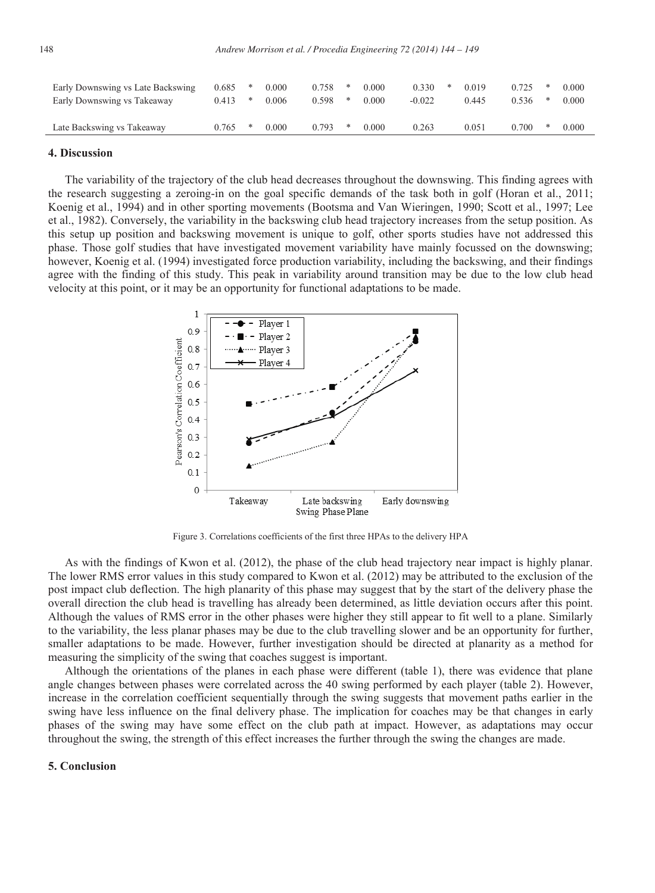| Early Downswing vs Late Backswing | 0.685 | ∗ | 0.000 | 0.758 |  | 0.000     | 0.330    | 0.019 |       | 0.000 |
|-----------------------------------|-------|---|-------|-------|--|-----------|----------|-------|-------|-------|
| Early Downswing vs Takeaway       | 0.413 | * | 0.006 | 0.598 |  | 0.000     | $-0.022$ | 0.445 | 2.536 | 0.000 |
|                                   |       |   |       |       |  |           |          |       |       |       |
| Late Backswing vs Takeaway        | 0.765 | ∗ | 0.000 | 0.793 |  | $0.000\,$ | 0.263    | 9.051 | 0.700 | 0.000 |
|                                   |       |   |       |       |  |           |          |       |       |       |

# **4. Discussion**

The variability of the trajectory of the club head decreases throughout the downswing. This finding agrees with the research suggesting a zeroing-in on the goal specific demands of the task both in golf (Horan et al., 2011; Koenig et al., 1994) and in other sporting movements (Bootsma and Van Wieringen, 1990; Scott et al., 1997; Lee et al., 1982). Conversely, the variability in the backswing club head trajectory increases from the setup position. As this setup up position and backswing movement is unique to golf, other sports studies have not addressed this phase. Those golf studies that have investigated movement variability have mainly focussed on the downswing; however, Koenig et al. (1994) investigated force production variability, including the backswing, and their findings agree with the finding of this study. This peak in variability around transition may be due to the low club head velocity at this point, or it may be an opportunity for functional adaptations to be made.



Figure 3. Correlations coefficients of the first three HPAs to the delivery HPA

As with the findings of Kwon et al. (2012), the phase of the club head trajectory near impact is highly planar. The lower RMS error values in this study compared to Kwon et al. (2012) may be attributed to the exclusion of the post impact club deflection. The high planarity of this phase may suggest that by the start of the delivery phase the overall direction the club head is travelling has already been determined, as little deviation occurs after this point. Although the values of RMS error in the other phases were higher they still appear to fit well to a plane. Similarly to the variability, the less planar phases may be due to the club travelling slower and be an opportunity for further, smaller adaptations to be made. However, further investigation should be directed at planarity as a method for measuring the simplicity of the swing that coaches suggest is important.

Although the orientations of the planes in each phase were different (table 1), there was evidence that plane angle changes between phases were correlated across the 40 swing performed by each player (table 2). However, increase in the correlation coefficient sequentially through the swing suggests that movement paths earlier in the swing have less influence on the final delivery phase. The implication for coaches may be that changes in early phases of the swing may have some effect on the club path at impact. However, as adaptations may occur throughout the swing, the strength of this effect increases the further through the swing the changes are made.

### **5. Conclusion**